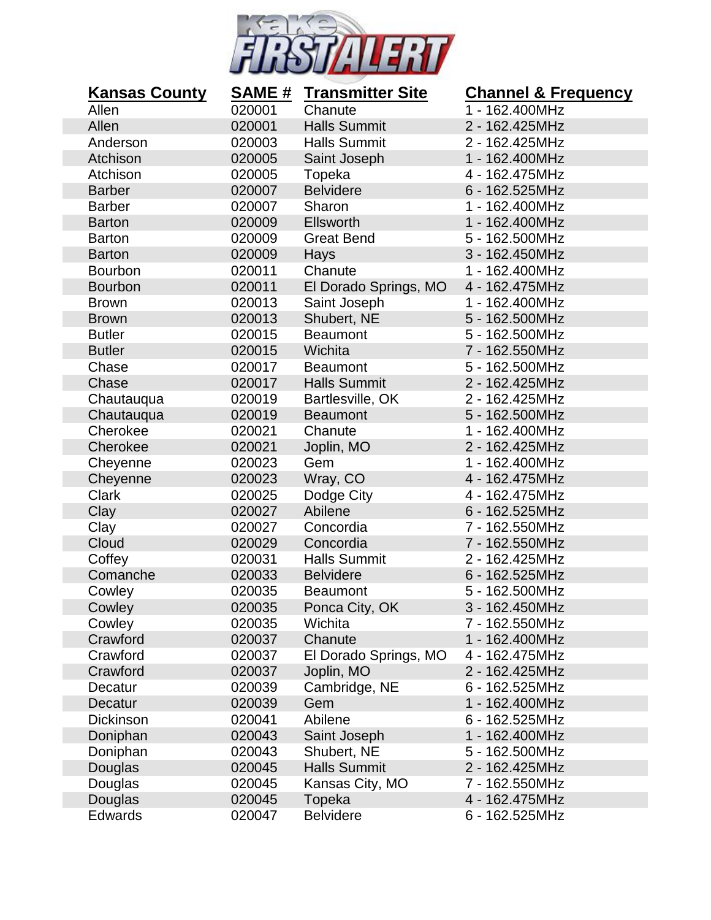

| <b>Kansas County</b> | <u>SAME #</u> | <b>Transmitter Site</b> | <b>Channel &amp; Frequency</b> |
|----------------------|---------------|-------------------------|--------------------------------|
| Allen                | 020001        | Chanute                 | 1 - 162.400MHz                 |
| Allen                | 020001        | <b>Halls Summit</b>     | 2 - 162.425MHz                 |
| Anderson             | 020003        | <b>Halls Summit</b>     | 2 - 162.425MHz                 |
| Atchison             | 020005        | Saint Joseph            | 1 - 162.400MHz                 |
| Atchison             | 020005        | Topeka                  | 4 - 162.475MHz                 |
| <b>Barber</b>        | 020007        | <b>Belvidere</b>        | 6 - 162.525MHz                 |
| <b>Barber</b>        | 020007        | Sharon                  | 1 - 162.400MHz                 |
| <b>Barton</b>        | 020009        | <b>Ellsworth</b>        | 1 - 162.400MHz                 |
| <b>Barton</b>        | 020009        | <b>Great Bend</b>       | 5 - 162.500MHz                 |
| <b>Barton</b>        | 020009        | Hays                    | 3 - 162.450MHz                 |
| <b>Bourbon</b>       | 020011        | Chanute                 | 1 - 162.400MHz                 |
| <b>Bourbon</b>       | 020011        | El Dorado Springs, MO   | 4 - 162.475MHz                 |
| <b>Brown</b>         | 020013        | Saint Joseph            | 1 - 162.400MHz                 |
| <b>Brown</b>         | 020013        | Shubert, NE             | 5 - 162.500MHz                 |
| <b>Butler</b>        | 020015        | <b>Beaumont</b>         | 5 - 162.500MHz                 |
| <b>Butler</b>        | 020015        | Wichita                 | 7 - 162.550MHz                 |
| Chase                | 020017        | <b>Beaumont</b>         | 5 - 162.500MHz                 |
| Chase                | 020017        | <b>Halls Summit</b>     | 2 - 162.425MHz                 |
| Chautauqua           | 020019        | Bartlesville, OK        | 2 - 162.425MHz                 |
| Chautauqua           | 020019        | <b>Beaumont</b>         | 5 - 162.500MHz                 |
| Cherokee             | 020021        | Chanute                 | 1 - 162.400MHz                 |
| Cherokee             | 020021        | Joplin, MO              | 2 - 162.425MHz                 |
| Cheyenne             | 020023        | Gem                     | 1 - 162.400MHz                 |
| Cheyenne             | 020023        | Wray, CO                | 4 - 162.475MHz                 |
| <b>Clark</b>         | 020025        | Dodge City              | 4 - 162.475MHz                 |
| Clay                 | 020027        | Abilene                 | 6 - 162.525MHz                 |
| Clay                 | 020027        | Concordia               | 7 - 162.550MHz                 |
| Cloud                | 020029        | Concordia               | 7 - 162.550MHz                 |
| Coffey               | 020031        | <b>Halls Summit</b>     | 2 - 162.425MHz                 |
| Comanche             | 020033        | <b>Belvidere</b>        | 6 - 162.525MHz                 |
| Cowley               | 020035        | <b>Beaumont</b>         | 5 - 162.500MHz                 |
| Cowley               | 020035        | Ponca City, OK          | 3 - 162.450MHz                 |
| Cowley               | 020035        | Wichita                 | 7 - 162.550MHz                 |
| Crawford             | 020037        | Chanute                 | 1 - 162.400MHz                 |
| Crawford             | 020037        | El Dorado Springs, MO   | 4 - 162.475MHz                 |
| Crawford             | 020037        | Joplin, MO              | 2 - 162.425MHz                 |
| Decatur              | 020039        | Cambridge, NE           | 6 - 162.525MHz                 |
| Decatur              | 020039        | Gem                     | 1 - 162.400MHz                 |
| Dickinson            | 020041        | Abilene                 | 6 - 162.525MHz                 |
| Doniphan             | 020043        | Saint Joseph            | 1 - 162.400MHz                 |
| Doniphan             | 020043        | Shubert, NE             | 5 - 162.500MHz                 |
| Douglas              | 020045        | <b>Halls Summit</b>     | 2 - 162.425MHz                 |
| Douglas              | 020045        | Kansas City, MO         | 7 - 162.550MHz                 |
| Douglas              | 020045        | Topeka                  | 4 - 162.475MHz                 |
| Edwards              | 020047        | <b>Belvidere</b>        | 6 - 162.525MHz                 |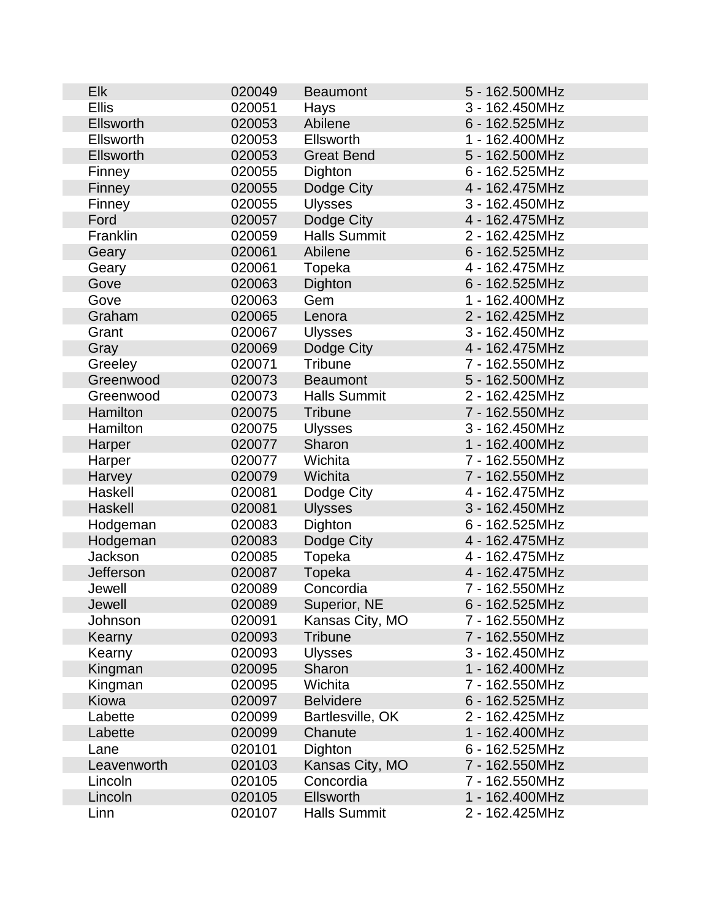| <b>Elk</b>   | 020049 | <b>Beaumont</b>     | 5 - 162.500MHz |
|--------------|--------|---------------------|----------------|
| <b>Ellis</b> | 020051 | Hays                | 3 - 162.450MHz |
| Ellsworth    | 020053 | Abilene             | 6 - 162.525MHz |
| Ellsworth    | 020053 | Ellsworth           | 1 - 162.400MHz |
| Ellsworth    | 020053 | <b>Great Bend</b>   | 5 - 162.500MHz |
| Finney       | 020055 | Dighton             | 6 - 162.525MHz |
| Finney       | 020055 | Dodge City          | 4 - 162.475MHz |
| Finney       | 020055 | <b>Ulysses</b>      | 3 - 162.450MHz |
| Ford         | 020057 | Dodge City          | 4 - 162.475MHz |
| Franklin     | 020059 | <b>Halls Summit</b> | 2 - 162.425MHz |
| Geary        | 020061 | Abilene             | 6 - 162.525MHz |
| Geary        | 020061 | Topeka              | 4 - 162.475MHz |
| Gove         | 020063 | Dighton             | 6 - 162.525MHz |
| Gove         | 020063 | Gem                 | 1 - 162.400MHz |
| Graham       | 020065 | Lenora              | 2 - 162.425MHz |
| Grant        | 020067 | <b>Ulysses</b>      | 3 - 162.450MHz |
| Gray         | 020069 | Dodge City          | 4 - 162.475MHz |
| Greeley      | 020071 | <b>Tribune</b>      | 7 - 162.550MHz |
| Greenwood    | 020073 | <b>Beaumont</b>     | 5 - 162.500MHz |
| Greenwood    | 020073 | <b>Halls Summit</b> | 2 - 162.425MHz |
| Hamilton     | 020075 | <b>Tribune</b>      | 7 - 162.550MHz |
| Hamilton     | 020075 | <b>Ulysses</b>      | 3 - 162.450MHz |
| Harper       | 020077 | Sharon              | 1 - 162.400MHz |
| Harper       | 020077 | Wichita             | 7 - 162.550MHz |
| Harvey       | 020079 | Wichita             | 7 - 162.550MHz |
| Haskell      | 020081 | Dodge City          | 4 - 162.475MHz |
| Haskell      | 020081 | <b>Ulysses</b>      | 3 - 162.450MHz |
| Hodgeman     | 020083 | Dighton             | 6 - 162.525MHz |
| Hodgeman     | 020083 | Dodge City          | 4 - 162.475MHz |
| Jackson      | 020085 | Topeka              | 4 - 162.475MHz |
| Jefferson    | 020087 | Topeka              | 4 - 162.475MHz |
| Jewell       | 020089 | Concordia           | 7 - 162.550MHz |
| Jewell       | 020089 | Superior, NE        | 6 - 162.525MHz |
| Johnson      | 020091 | Kansas City, MO     | 7 - 162.550MHz |
| Kearny       | 020093 | <b>Tribune</b>      | 7 - 162.550MHz |
| Kearny       | 020093 | <b>Ulysses</b>      | 3 - 162.450MHz |
| Kingman      | 020095 | Sharon              | 1 - 162.400MHz |
| Kingman      | 020095 | Wichita             | 7 - 162.550MHz |
| Kiowa        | 020097 | <b>Belvidere</b>    | 6 - 162.525MHz |
| Labette      | 020099 | Bartlesville, OK    | 2 - 162.425MHz |
| Labette      | 020099 | Chanute             | 1 - 162.400MHz |
| Lane         | 020101 | Dighton             | 6 - 162.525MHz |
| Leavenworth  | 020103 | Kansas City, MO     | 7 - 162.550MHz |
| Lincoln      | 020105 | Concordia           | 7 - 162.550MHz |
| Lincoln      | 020105 | <b>Ellsworth</b>    | 1 - 162.400MHz |
| Linn         | 020107 | <b>Halls Summit</b> | 2 - 162.425MHz |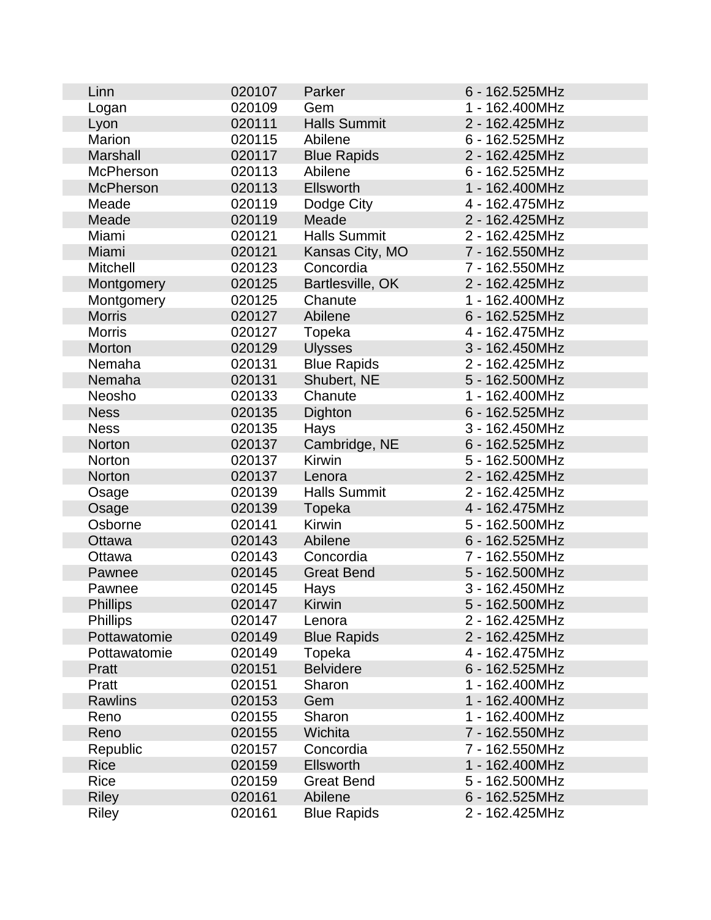| Linn             | 020107 | Parker              | 6 - 162.525MHz |
|------------------|--------|---------------------|----------------|
| Logan            | 020109 | Gem                 | 1 - 162.400MHz |
| Lyon             | 020111 | <b>Halls Summit</b> | 2 - 162.425MHz |
| <b>Marion</b>    | 020115 | Abilene             | 6 - 162.525MHz |
| <b>Marshall</b>  | 020117 | <b>Blue Rapids</b>  | 2 - 162.425MHz |
| <b>McPherson</b> | 020113 | Abilene             | 6 - 162.525MHz |
| <b>McPherson</b> | 020113 | <b>Ellsworth</b>    | 1 - 162.400MHz |
| Meade            | 020119 | Dodge City          | 4 - 162.475MHz |
| Meade            | 020119 | Meade               | 2 - 162.425MHz |
| Miami            | 020121 | <b>Halls Summit</b> | 2 - 162.425MHz |
| Miami            | 020121 | Kansas City, MO     | 7 - 162.550MHz |
| <b>Mitchell</b>  | 020123 | Concordia           | 7 - 162.550MHz |
| Montgomery       | 020125 | Bartlesville, OK    | 2 - 162.425MHz |
| Montgomery       | 020125 | Chanute             | 1 - 162.400MHz |
| <b>Morris</b>    | 020127 | Abilene             | 6 - 162.525MHz |
| <b>Morris</b>    | 020127 | Topeka              | 4 - 162.475MHz |
| Morton           | 020129 | <b>Ulysses</b>      | 3 - 162.450MHz |
| Nemaha           | 020131 | <b>Blue Rapids</b>  | 2 - 162.425MHz |
| Nemaha           | 020131 | Shubert, NE         | 5 - 162.500MHz |
| Neosho           | 020133 | Chanute             | 1 - 162.400MHz |
| <b>Ness</b>      | 020135 | Dighton             | 6 - 162.525MHz |
| <b>Ness</b>      | 020135 | Hays                | 3 - 162.450MHz |
| Norton           | 020137 | Cambridge, NE       | 6 - 162.525MHz |
| Norton           | 020137 | <b>Kirwin</b>       | 5 - 162.500MHz |
| Norton           | 020137 | Lenora              | 2 - 162.425MHz |
| Osage            | 020139 | <b>Halls Summit</b> | 2 - 162.425MHz |
| Osage            | 020139 | Topeka              | 4 - 162.475MHz |
| Osborne          | 020141 | Kirwin              | 5 - 162.500MHz |
| Ottawa           | 020143 | Abilene             | 6 - 162.525MHz |
| Ottawa           | 020143 | Concordia           | 7 - 162.550MHz |
| Pawnee           | 020145 | <b>Great Bend</b>   | 5 - 162.500MHz |
| Pawnee           | 020145 | Hays                | 3 - 162.450MHz |
| <b>Phillips</b>  | 020147 | Kirwin              | 5 - 162.500MHz |
| <b>Phillips</b>  | 020147 | Lenora              | 2 - 162.425MHz |
| Pottawatomie     | 020149 | <b>Blue Rapids</b>  | 2 - 162.425MHz |
| Pottawatomie     | 020149 | Topeka              | 4 - 162.475MHz |
| Pratt            | 020151 | <b>Belvidere</b>    | 6 - 162.525MHz |
| Pratt            | 020151 | Sharon              | 1 - 162.400MHz |
| <b>Rawlins</b>   | 020153 | Gem                 | 1 - 162.400MHz |
| Reno             | 020155 | Sharon              | 1 - 162.400MHz |
| Reno             | 020155 | Wichita             | 7 - 162.550MHz |
| Republic         | 020157 | Concordia           | 7 - 162.550MHz |
| <b>Rice</b>      | 020159 | Ellsworth           | 1 - 162.400MHz |
| <b>Rice</b>      | 020159 | <b>Great Bend</b>   | 5 - 162.500MHz |
| <b>Riley</b>     | 020161 | Abilene             | 6 - 162.525MHz |
| <b>Riley</b>     | 020161 | <b>Blue Rapids</b>  | 2 - 162.425MHz |